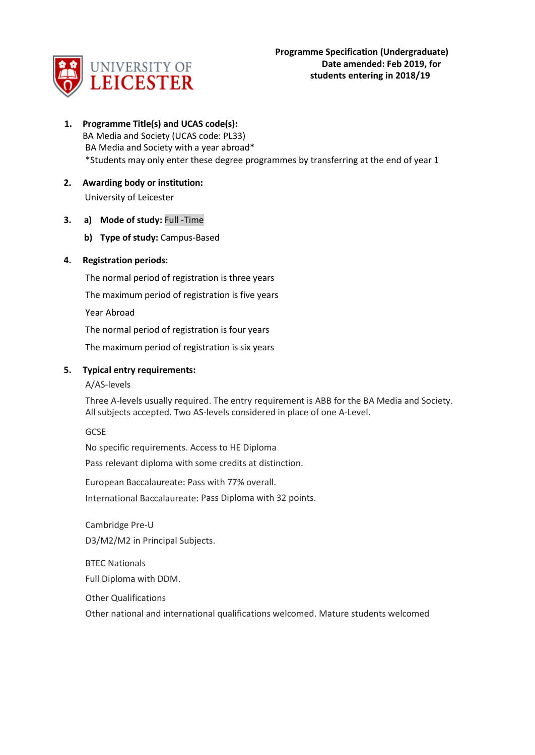

- **1. Programme Title(s) and UCAS code(s):** BA Media and Society (UCAS code: PL33) BA Media and Society with a year abroad\* \*Students may only enter these degree programmes by transferring at the end of year 1
- **2. Awarding body or institution:** University of Leicester
- **3. a) Mode of study:** Full -Time
	- **b) Type of study:** Campus-Based

# **4. Registration periods:**

The normal period of registration is three years

The maximum period of registration is five years

Year Abroad

The normal period of registration is four years

The maximum period of registration is six years

# **5. Typical entry requirements:**

## A/AS-levels

Three A-levels usually required. The entry requirement is ABB for the BA Media and Society. All subjects accepted. Two AS-levels considered in place of one A-Level.

**GCSE** 

No specific requirements. Access to HE Diploma

Pass relevant diploma with some credits at distinction.

European Baccalaureate: Pass with 77% overall.

International Baccalaureate: Pass Diploma with 32 points.

Cambridge Pre-U D3/M2/M2 in Principal Subjects.

BTEC Nationals Full Diploma with DDM.

Other Qualifications

Other national and international qualifications welcomed. Mature students welcomed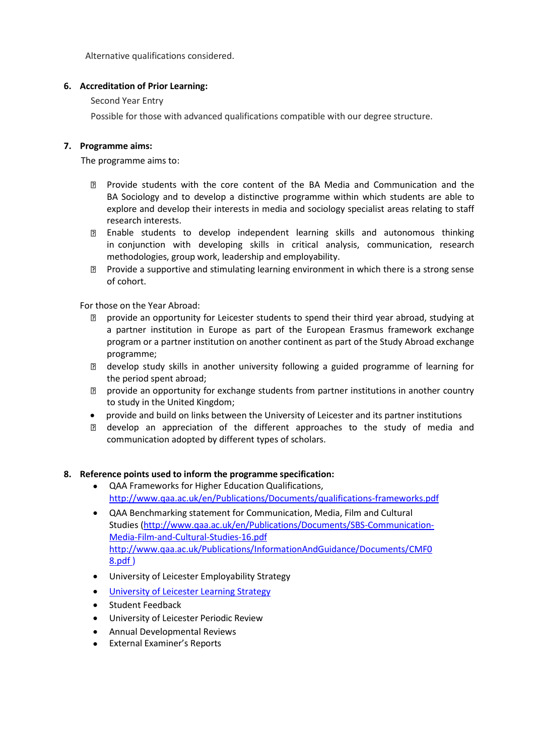Alternative qualifications considered.

# **6. Accreditation of Prior Learning:**

Second Year Entry

Possible for those with advanced qualifications compatible with our degree structure.

# **7. Programme aims:**

The programme aims to:

- Provide students with the core content of the BA Media and Communication and the BA Sociology and to develop a distinctive programme within which students are able to explore and develop their interests in media and sociology specialist areas relating to staff research interests.
- Enable students to develop independent learning skills and autonomous thinking in conjunction with developing skills in critical analysis, communication, research methodologies, group work, leadership and employability.
- Provide a supportive and stimulating learning environment in which there is a strong sense of cohort.

For those on the Year Abroad:

- provide an opportunity for Leicester students to spend their third year abroad, studying at  $\overline{2}$ a partner institution in Europe as part of the European Erasmus framework exchange program or a partner institution on another continent as part of the Study Abroad exchange programme;
- develop study skills in another university following a guided programme of learning for the period spent abroad;
- provide an opportunity for exchange students from partner institutions in another country to study in the United Kingdom;
- provide and build on links between the University of Leicester and its partner institutions
- develop an appreciation of the different approaches to the study of media and communication adopted by different types of scholars.

## **8. Reference points used to inform the programme specification:**

- QAA Frameworks for Higher Education Qualifications, <http://www.qaa.ac.uk/en/Publications/Documents/qualifications-frameworks.pdf>
- QAA Benchmarking statement for Communication, Media, Film and Cultural Studies [\(http://www.qaa.ac.uk/en/Publications/Documents/SBS-Communication-](http://www.qaa.ac.uk/en/Publications/Documents/SBS-Communication-Media-Film-and-Cultural-Studies-16.pdf)[Media-Film-and-Cultural-Studies-16.pdf](http://www.qaa.ac.uk/en/Publications/Documents/SBS-Communication-Media-Film-and-Cultural-Studies-16.pdf)  [http://www.qaa.ac.uk/Publications/InformationAndGuidance/Documents/CMF0](http://www.qaa.ac.uk/en/Publications/Documents/SBS-Communication-Media-Film-and-Cultural-Studies-16.pdf) [8.pdf](http://www.qaa.ac.uk/en/Publications/Documents/SBS-Communication-Media-Film-and-Cultural-Studies-16.pdf) )
- University of Leicester Employability Strategy
- [University of Leicester Learning Strategy](https://www2.le.ac.uk/offices/sas2/quality/documents/learning-strategy-2016-2020/view)
- Student Feedback
- University of Leicester Periodic Review
- Annual Developmental Reviews
- External Examiner's Reports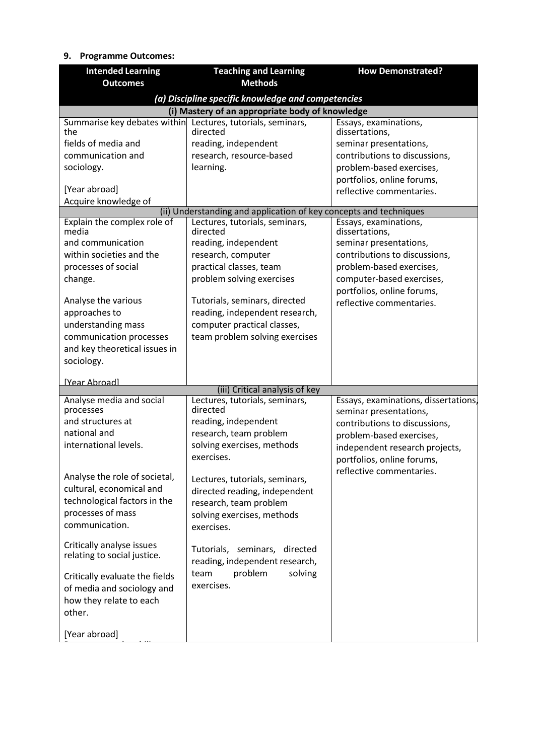# **9. Programme Outcomes:**

| <b>Intended Learning</b>             | <b>Teaching and Learning</b>                                      | <b>How Demonstrated?</b>                |
|--------------------------------------|-------------------------------------------------------------------|-----------------------------------------|
| <b>Outcomes</b>                      | <b>Methods</b>                                                    |                                         |
|                                      | (a) Discipline specific knowledge and competencies                |                                         |
|                                      | (i) Mastery of an appropriate body of knowledge                   |                                         |
| Summarise key debates within<br>the  | Lectures, tutorials, seminars,<br>directed                        | Essays, examinations,<br>dissertations, |
| fields of media and                  | reading, independent                                              | seminar presentations,                  |
| communication and                    | research, resource-based                                          | contributions to discussions,           |
| sociology.                           | learning.                                                         | problem-based exercises,                |
|                                      |                                                                   | portfolios, online forums,              |
| [Year abroad]                        |                                                                   | reflective commentaries.                |
| Acquire knowledge of                 | (ii) Understanding and application of key concepts and techniques |                                         |
| Explain the complex role of          | Lectures, tutorials, seminars,                                    | Essays, examinations,                   |
| media                                | directed                                                          | dissertations,                          |
| and communication                    | reading, independent                                              | seminar presentations,                  |
| within societies and the             | research, computer                                                | contributions to discussions,           |
| processes of social                  | practical classes, team                                           | problem-based exercises,                |
| change.                              | problem solving exercises                                         | computer-based exercises,               |
|                                      |                                                                   | portfolios, online forums,              |
| Analyse the various<br>approaches to | Tutorials, seminars, directed<br>reading, independent research,   | reflective commentaries.                |
| understanding mass                   | computer practical classes,                                       |                                         |
| communication processes              | team problem solving exercises                                    |                                         |
| and key theoretical issues in        |                                                                   |                                         |
| sociology.                           |                                                                   |                                         |
|                                      |                                                                   |                                         |
| [Year Ahroad]                        | (iii) Critical analysis of key                                    |                                         |
| Analyse media and social             | Lectures, tutorials, seminars,                                    | Essays, examinations, dissertations,    |
| processes                            | directed                                                          | seminar presentations,                  |
| and structures at                    | reading, independent                                              | contributions to discussions,           |
| national and                         | research, team problem                                            | problem-based exercises,                |
| international levels.                | solving exercises, methods                                        | independent research projects,          |
|                                      | exercises.                                                        | portfolios, online forums,              |
| Analyse the role of societal,        | Lectures, tutorials, seminars,                                    | reflective commentaries.                |
| cultural, economical and             | directed reading, independent                                     |                                         |
| technological factors in the         | research, team problem                                            |                                         |
| processes of mass                    | solving exercises, methods                                        |                                         |
| communication.                       | exercises.                                                        |                                         |
|                                      |                                                                   |                                         |
| Critically analyse issues            | Tutorials, seminars, directed                                     |                                         |
| relating to social justice.          | reading, independent research,                                    |                                         |
| Critically evaluate the fields       | problem<br>solving<br>team                                        |                                         |
| of media and sociology and           | exercises.                                                        |                                         |
| how they relate to each              |                                                                   |                                         |
| other.                               |                                                                   |                                         |
|                                      |                                                                   |                                         |
| [Year abroad]                        |                                                                   |                                         |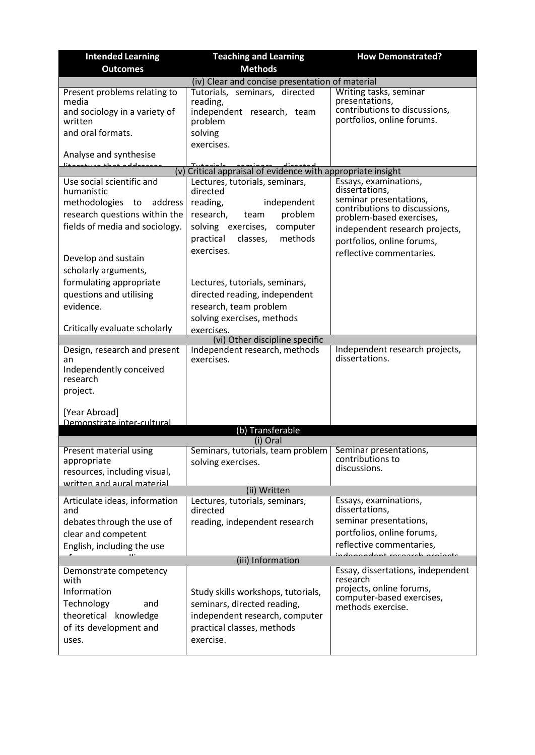| <b>Intended Learning</b>                                                                                                                                                                                                                                                                                                                                                           | <b>Teaching and Learning</b>                                                                                                                                                                                                                                                                                                                                                                                        | <b>How Demonstrated?</b>                                                                                                                                                                                                                                                       |
|------------------------------------------------------------------------------------------------------------------------------------------------------------------------------------------------------------------------------------------------------------------------------------------------------------------------------------------------------------------------------------|---------------------------------------------------------------------------------------------------------------------------------------------------------------------------------------------------------------------------------------------------------------------------------------------------------------------------------------------------------------------------------------------------------------------|--------------------------------------------------------------------------------------------------------------------------------------------------------------------------------------------------------------------------------------------------------------------------------|
| <b>Outcomes</b>                                                                                                                                                                                                                                                                                                                                                                    | <b>Methods</b>                                                                                                                                                                                                                                                                                                                                                                                                      |                                                                                                                                                                                                                                                                                |
|                                                                                                                                                                                                                                                                                                                                                                                    | (iv) Clear and concise presentation of material                                                                                                                                                                                                                                                                                                                                                                     |                                                                                                                                                                                                                                                                                |
| Present problems relating to<br>media<br>and sociology in a variety of<br>written<br>and oral formats.                                                                                                                                                                                                                                                                             | Tutorials, seminars, directed<br>reading,<br>independent research, team<br>problem<br>solving                                                                                                                                                                                                                                                                                                                       | Writing tasks, seminar<br>presentations,<br>contributions to discussions,<br>portfolios, online forums.                                                                                                                                                                        |
| Analyse and synthesise                                                                                                                                                                                                                                                                                                                                                             | exercises.                                                                                                                                                                                                                                                                                                                                                                                                          |                                                                                                                                                                                                                                                                                |
| مممعاماهم خمطع معسدعتنا<br>(v)                                                                                                                                                                                                                                                                                                                                                     | Critical appraisal of evidence with appropriate insight                                                                                                                                                                                                                                                                                                                                                             |                                                                                                                                                                                                                                                                                |
| Use social scientific and<br>humanistic<br>methodologies to address<br>research questions within the<br>fields of media and sociology.<br>Develop and sustain<br>scholarly arguments,<br>formulating appropriate<br>questions and utilising<br>evidence.<br>Critically evaluate scholarly<br>Design, research and present<br>an<br>Independently conceived<br>research<br>project. | Lectures, tutorials, seminars,<br>directed<br>reading,<br>independent<br>research,<br>problem<br>team<br>solving exercises,<br>computer<br>methods<br>practical<br>classes,<br>exercises.<br>Lectures, tutorials, seminars,<br>directed reading, independent<br>research, team problem<br>solving exercises, methods<br>exercises.<br>(vi) Other discipline specific<br>Independent research, methods<br>exercises. | Essays, examinations,<br>dissertations,<br>seminar presentations,<br>contributions to discussions,<br>problem-based exercises,<br>independent research projects,<br>portfolios, online forums,<br>reflective commentaries.<br>Independent research projects,<br>dissertations. |
| [Year Abroad]<br>Demonstrate inter-cultural                                                                                                                                                                                                                                                                                                                                        |                                                                                                                                                                                                                                                                                                                                                                                                                     |                                                                                                                                                                                                                                                                                |
|                                                                                                                                                                                                                                                                                                                                                                                    | (b) Transferable                                                                                                                                                                                                                                                                                                                                                                                                    |                                                                                                                                                                                                                                                                                |
| Present material using<br>appropriate<br>resources, including visual,<br>written and aural material                                                                                                                                                                                                                                                                                | (i) Oral<br>Seminars, tutorials, team problem   Seminar presentations,<br>solving exercises.<br>(ii) Written                                                                                                                                                                                                                                                                                                        | contributions to<br>discussions.                                                                                                                                                                                                                                               |
| Articulate ideas, information<br>and<br>debates through the use of<br>clear and competent<br>English, including the use<br>Demonstrate competency<br>with<br>Information<br>Technology<br>and<br>theoretical knowledge<br>of its development and<br>uses.                                                                                                                          | Lectures, tutorials, seminars,<br>directed<br>reading, independent research<br>(iii) Information<br>Study skills workshops, tutorials,<br>seminars, directed reading,<br>independent research, computer<br>practical classes, methods<br>exercise.                                                                                                                                                                  | Essays, examinations,<br>dissertations,<br>seminar presentations,<br>portfolios, online forums,<br>reflective commentaries,<br>Essay, dissertations, independent<br>research<br>projects, online forums,<br>computer-based exercises,<br>methods exercise.                     |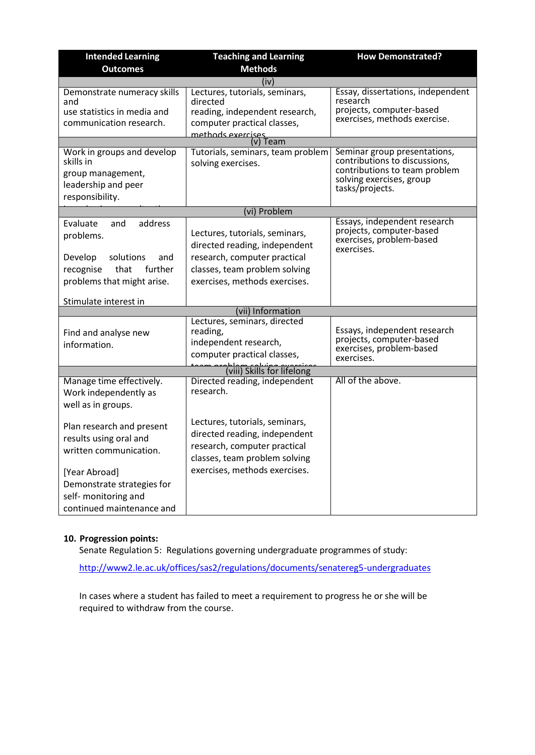| <b>Intended Learning</b>                                                                                                             | <b>Teaching and Learning</b>                                                                                                                                      | <b>How Demonstrated?</b>                                                                                                                      |
|--------------------------------------------------------------------------------------------------------------------------------------|-------------------------------------------------------------------------------------------------------------------------------------------------------------------|-----------------------------------------------------------------------------------------------------------------------------------------------|
| <b>Outcomes</b>                                                                                                                      | <b>Methods</b>                                                                                                                                                    |                                                                                                                                               |
|                                                                                                                                      | (iv)                                                                                                                                                              |                                                                                                                                               |
| Demonstrate numeracy skills<br>and<br>use statistics in media and<br>communication research.                                         | Lectures, tutorials, seminars,<br>directed<br>reading, independent research,<br>computer practical classes,<br>methods exercises                                  | Essay, dissertations, independent<br>research<br>projects, computer-based<br>exercises, methods exercise.                                     |
|                                                                                                                                      | (v) Team                                                                                                                                                          |                                                                                                                                               |
| Work in groups and develop<br>skills in<br>group management,<br>leadership and peer<br>responsibility.                               | Tutorials, seminars, team problem<br>solving exercises.                                                                                                           | Seminar group presentations,<br>contributions to discussions,<br>contributions to team problem<br>solving exercises, group<br>tasks/projects. |
|                                                                                                                                      | (vi) Problem                                                                                                                                                      |                                                                                                                                               |
| address<br>Evaluate<br>and<br>problems.<br>Develop<br>solutions<br>and<br>further<br>recognise<br>that<br>problems that might arise. | Lectures, tutorials, seminars,<br>directed reading, independent<br>research, computer practical<br>classes, team problem solving<br>exercises, methods exercises. | Essays, independent research<br>projects, computer-based<br>exercises, problem-based<br>exercises.                                            |
| Stimulate interest in                                                                                                                |                                                                                                                                                                   |                                                                                                                                               |
|                                                                                                                                      | (vii) Information                                                                                                                                                 |                                                                                                                                               |
| Find and analyse new<br>information.                                                                                                 | Lectures, seminars, directed<br>reading,<br>independent research,<br>computer practical classes,                                                                  | Essays, independent research<br>projects, computer-based<br>exercises, problem-based<br>exercises.                                            |
|                                                                                                                                      | (viii) Skills for lifelong                                                                                                                                        |                                                                                                                                               |
| Manage time effectively.<br>Work independently as<br>well as in groups.                                                              | Directed reading, independent<br>research.                                                                                                                        | All of the above.                                                                                                                             |
| Plan research and present<br>results using oral and<br>written communication.                                                        | Lectures, tutorials, seminars,<br>directed reading, independent<br>research, computer practical<br>classes, team problem solving                                  |                                                                                                                                               |
| [Year Abroad]<br>Demonstrate strategies for<br>self- monitoring and<br>continued maintenance and                                     | exercises, methods exercises.                                                                                                                                     |                                                                                                                                               |

# different culture and **10. Progression points:**

institutions. Senate Regulation 5: Regulations governing undergraduate programmes of study:

<http://www2.le.ac.uk/offices/sas2/regulations/documents/senatereg5-undergraduates>

In cases where a student has failed to meet a requirement to progress he or she will be required to withdraw from the course.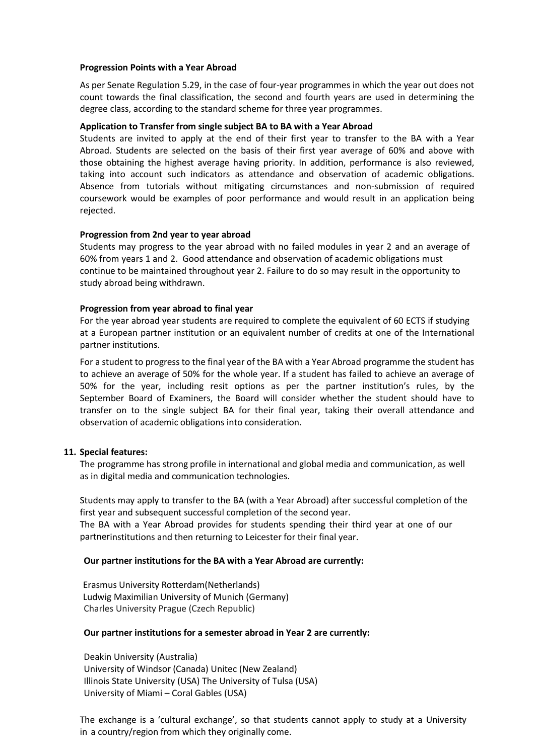#### **Progression Points with a Year Abroad**

As per Senate Regulation 5.29, in the case of four-year programmes in which the year out does not count towards the final classification, the second and fourth years are used in determining the degree class, according to the standard scheme for three year programmes.

## **Application to Transfer from single subject BA to BA with a Year Abroad**

Students are invited to apply at the end of their first year to transfer to the BA with a Year Abroad. Students are selected on the basis of their first year average of 60% and above with those obtaining the highest average having priority. In addition, performance is also reviewed, taking into account such indicators as attendance and observation of academic obligations. Absence from tutorials without mitigating circumstances and non-submission of required coursework would be examples of poor performance and would result in an application being rejected.

# **Progression from 2nd year to year abroad**

Students may progress to the year abroad with no failed modules in year 2 and an average of 60% from years 1 and 2. Good attendance and observation of academic obligations must continue to be maintained throughout year 2. Failure to do so may result in the opportunity to study abroad being withdrawn.

## **Progression from year abroad to final year**

For the year abroad year students are required to complete the equivalent of 60 ECTS if studying at a European partner institution or an equivalent number of credits at one of the International partner institutions.

For a student to progress to the final year of the BA with a Year Abroad programme the student has to achieve an average of 50% for the whole year. If a student has failed to achieve an average of 50% for the year, including resit options as per the partner institution's rules, by the September Board of Examiners, the Board will consider whether the student should have to transfer on to the single subject BA for their final year, taking their overall attendance and observation of academic obligations into consideration.

## **11. Special features:**

The programme has strong profile in international and global media and communication, as well as in digital media and communication technologies.

Students may apply to transfer to the BA (with a Year Abroad) after successful completion of the first year and subsequent successful completion of the second year.

The BA with a Year Abroad provides for students spending their third year at one of our partnerinstitutions and then returning to Leicester for their final year.

## **Our partner institutions for the BA with a Year Abroad are currently:**

 Erasmus University Rotterdam(Netherlands) Ludwig Maximilian University of Munich (Germany) Charles University Prague (Czech Republic)

## **Our partner institutions for a semester abroad in Year 2 are currently:**

Deakin University (Australia) University of Windsor (Canada) Unitec (New Zealand) Illinois State University (USA) The University of Tulsa (USA) University of Miami – Coral Gables (USA)

The exchange is a 'cultural exchange', so that students cannot apply to study at a University in a country/region from which they originally come.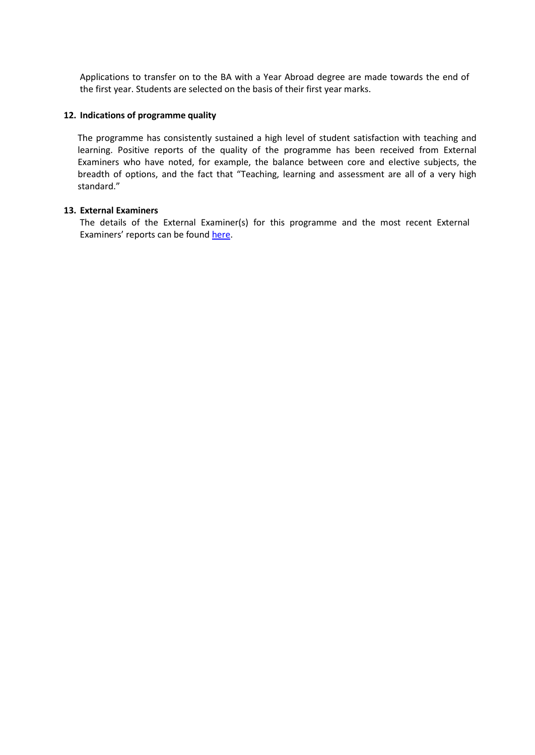Applications to transfer on to the BA with a Year Abroad degree are made towards the end of the first year. Students are selected on the basis of their first year marks.

#### **12. Indications of programme quality**

The programme has consistently sustained a high level of student satisfaction with teaching and learning. Positive reports of the quality of the programme has been received from External Examiners who have noted, for example, the balance between core and elective subjects, the breadth of options, and the fact that "Teaching, learning and assessment are all of a very high standard."

## **13. External Examiners**

The details of the External Examiner(s) for this programme and the most recent External Examiners' reports can be found [here.](https://exampapers.le.ac.uk/xmlui/handle/123456789/3)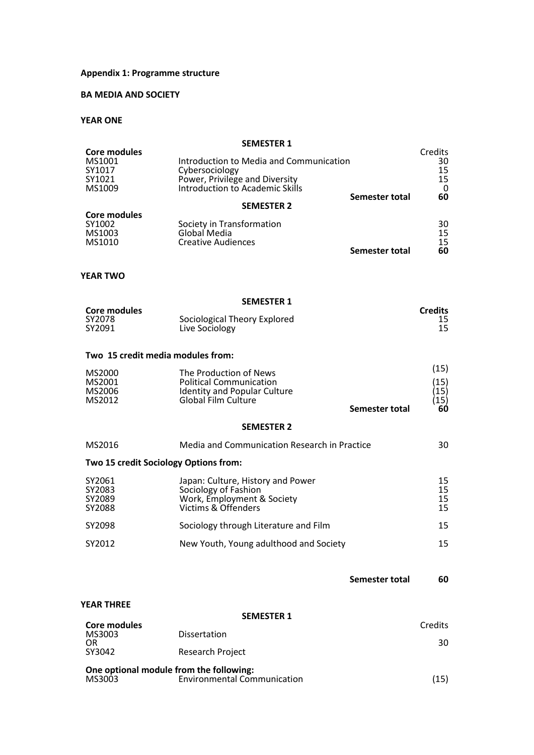#### **Appendix 1: Programme structure**

# **BA MEDIA AND SOCIETY**

## **YEAR ONE**

|                                                             | <b>SEMESTER 1</b>                                                                                                              |                       |                                          |
|-------------------------------------------------------------|--------------------------------------------------------------------------------------------------------------------------------|-----------------------|------------------------------------------|
| <b>Core modules</b><br>MS1001<br>SY1017<br>SY1021<br>MS1009 | Introduction to Media and Communication<br>Cybersociology<br>Power, Privilege and Diversity<br>Introduction to Academic Skills |                       | Credits<br>30<br>15<br>15<br>$\mathbf 0$ |
|                                                             | <b>SEMESTER 2</b>                                                                                                              | <b>Semester total</b> | 60                                       |
| <b>Core modules</b><br>SY1002<br>MS1003<br>MS1010           | Society in Transformation<br>Global Media<br><b>Creative Audiences</b>                                                         | Semester total        | 30<br>15<br>15<br>60                     |
| <b>YEAR TWO</b>                                             |                                                                                                                                |                       |                                          |
|                                                             | <b>SEMESTER 1</b>                                                                                                              |                       |                                          |
| <b>Core modules</b><br>SY2078<br>SY2091                     | Sociological Theory Explored<br>Live Sociology                                                                                 |                       | <b>Credits</b><br>15<br>15               |
| Two 15 credit media modules from:                           |                                                                                                                                |                       |                                          |
| MS2000<br>MS2001<br>MS2006<br>MS2012                        | The Production of News<br><b>Political Communication</b><br><b>Identity and Popular Culture</b><br><b>Global Film Culture</b>  | Semester total        | (15)<br>(15)<br>(15)<br>(15)<br>60       |
|                                                             | <b>SEMESTER 2</b>                                                                                                              |                       |                                          |
| MS2016                                                      | Media and Communication Research in Practice                                                                                   |                       | 30                                       |
| Two 15 credit Sociology Options from:                       |                                                                                                                                |                       |                                          |
| SY2061<br>SY2083<br>SY2089<br>SY2088                        | Japan: Culture, History and Power<br>Sociology of Fashion<br>Work, Employment & Society<br>Victims & Offenders                 |                       | 15<br>15<br>15<br>15                     |
| SY2098                                                      | Sociology through Literature and Film                                                                                          |                       | 15                                       |
| SY2012                                                      | New Youth, Young adulthood and Society                                                                                         |                       | 15                                       |
|                                                             |                                                                                                                                | Semester total        | 60                                       |
| <b>YEAR THREE</b>                                           |                                                                                                                                |                       |                                          |
| <b>Core modules</b>                                         | <b>SEMESTER 1</b>                                                                                                              |                       | Credits                                  |
| MS3003                                                      | <b>Dissertation</b>                                                                                                            |                       |                                          |
| OR<br>SY3042                                                | <b>Research Project</b>                                                                                                        |                       | 30                                       |
| One optional module from the following:                     |                                                                                                                                |                       |                                          |

MS3003 Environmental Communication (15)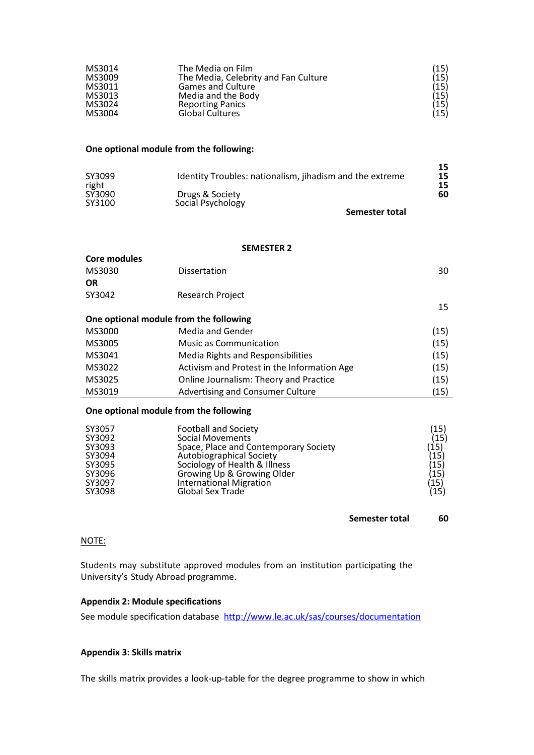| MS3014 | The Media on Film                    | $(15)\ (15)\ (15)\ (15)\ (15)\ (15)\ (15)$ |
|--------|--------------------------------------|--------------------------------------------|
| MS3009 | The Media, Celebrity and Fan Culture |                                            |
| MS3011 | <b>Games and Culture</b>             |                                            |
| MS3013 | Media and the Body                   |                                            |
| MS3024 | <b>Reporting Panics</b>              |                                            |
| MS3004 | <b>Global Cultures</b>               |                                            |

#### **One optional module from the following:**

| SY3099<br>right | Identity Troubles: nationalism, jihadism and the extreme | 15<br>15 |
|-----------------|----------------------------------------------------------|----------|
| SY3090          | Drugs & Society                                          | 60       |
| SY3100          | Social Psychology                                        |          |

**Semester total**

 $\overline{a}$ 

## **SEMESTER 2**

| <b>Core modules</b> |                                             |      |
|---------------------|---------------------------------------------|------|
| MS3030              | Dissertation                                | 30   |
| <b>OR</b>           |                                             |      |
| SY3042              | Research Project                            |      |
|                     |                                             | 15   |
|                     | One optional module from the following      |      |
| MS3000              | Media and Gender                            | (15) |
| MS3005              | <b>Music as Communication</b>               | (15) |
| MS3041              | Media Rights and Responsibilities           | (15) |
| MS3022              | Activism and Protest in the Information Age | (15) |
| MS3025              | Online Journalism: Theory and Practice      | (15) |
| MS3019              | Advertising and Consumer Culture            | (15) |
|                     |                                             |      |

# **One optional module from the following**

| SY3057 | <b>Football and Society</b>           | (15)                                 |
|--------|---------------------------------------|--------------------------------------|
| SY3092 | Social Movements                      | (15)                                 |
| SY3093 | Space, Place and Contemporary Society | (15)<br>(15)<br>(15)<br>(15)<br>(15) |
| SY3094 | Autobiographical Society              |                                      |
| SY3095 | Sociology of Health & Illness         |                                      |
| SY3096 | Growing Up & Growing Older            |                                      |
| SY3097 | International Migration               |                                      |
| SY3098 | Global Sex Trade                      | (15)                                 |

#### **Semester total 60**

#### NOTE:

Students may substitute approved modules from an institution participating the University's Study Abroad programme.

## **Appendix 2: Module specifications**

See module specification database <http://www.le.ac.uk/sas/courses/documentation>

#### **Appendix 3: Skills matrix**

The skills matrix provides a look-up-table for the degree programme to show in which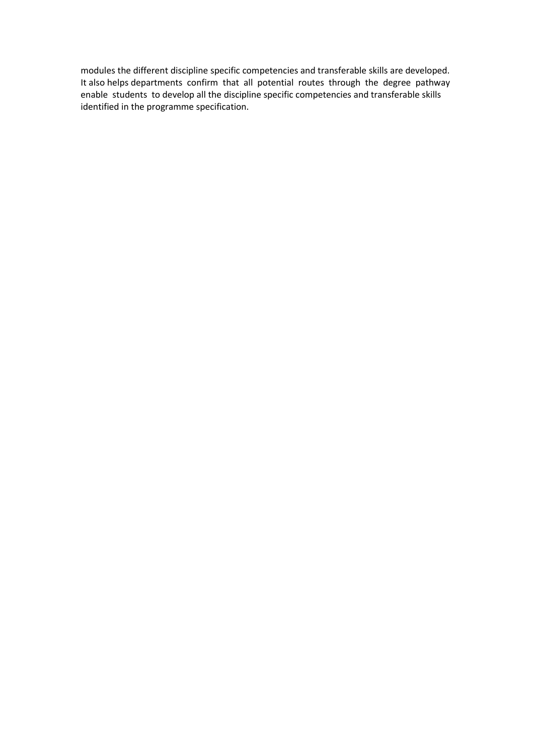modules the different discipline specific competencies and transferable skills are developed. It also helps departments confirm that all potential routes through the degree pathway enable students to develop all the discipline specific competencies and transferable skills identified in the programme specification.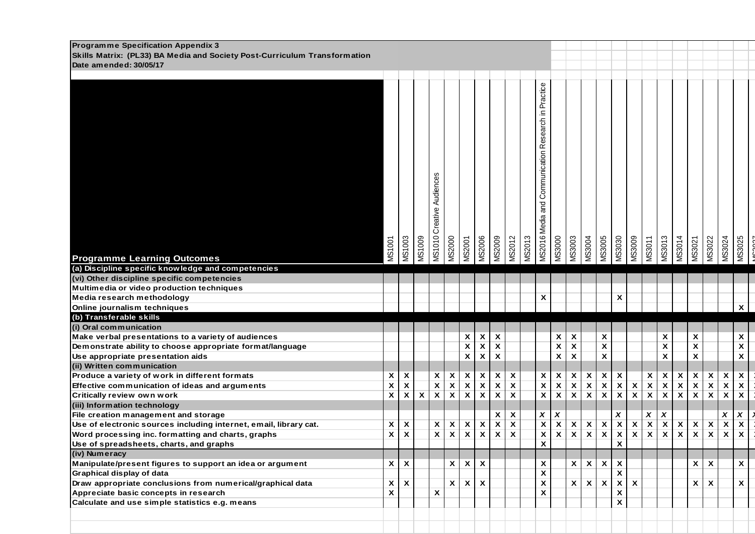| <b>Programme Specification Appendix 3</b><br>Skills Matrix: (PL33) BA Media and Society Post-Curriculum Transformation |                           |                           |              |                           |                         |                                 |                           |                         |                           |               |                                                     |                           |                                 |                                 |                                 |                                            |                                 |                                            |                           |                                 |                           |                           |                           |                           |
|------------------------------------------------------------------------------------------------------------------------|---------------------------|---------------------------|--------------|---------------------------|-------------------------|---------------------------------|---------------------------|-------------------------|---------------------------|---------------|-----------------------------------------------------|---------------------------|---------------------------------|---------------------------------|---------------------------------|--------------------------------------------|---------------------------------|--------------------------------------------|---------------------------|---------------------------------|---------------------------|---------------------------|---------------------------|---------------------------|
| Date amended: 30/05/17                                                                                                 |                           |                           |              |                           |                         |                                 |                           |                         |                           |               |                                                     |                           |                                 |                                 |                                 |                                            |                                 |                                            |                           |                                 |                           |                           |                           |                           |
|                                                                                                                        |                           |                           |              |                           |                         |                                 |                           |                         |                           |               |                                                     |                           |                                 |                                 |                                 |                                            |                                 |                                            |                           |                                 |                           |                           |                           |                           |
|                                                                                                                        |                           |                           |              |                           |                         |                                 |                           |                         |                           |               |                                                     |                           |                                 |                                 |                                 |                                            |                                 |                                            |                           |                                 |                           |                           |                           |                           |
|                                                                                                                        |                           |                           |              |                           |                         |                                 |                           |                         |                           |               |                                                     |                           |                                 |                                 |                                 |                                            |                                 |                                            |                           |                                 |                           |                           |                           |                           |
|                                                                                                                        |                           |                           |              |                           |                         |                                 |                           |                         |                           |               |                                                     |                           |                                 |                                 |                                 |                                            |                                 |                                            |                           |                                 |                           |                           |                           |                           |
|                                                                                                                        |                           |                           |              |                           |                         |                                 |                           |                         |                           |               |                                                     |                           |                                 |                                 |                                 |                                            |                                 |                                            |                           |                                 |                           |                           |                           |                           |
|                                                                                                                        |                           |                           |              |                           |                         |                                 |                           |                         |                           |               |                                                     |                           |                                 |                                 |                                 |                                            |                                 |                                            |                           |                                 |                           |                           |                           |                           |
|                                                                                                                        |                           |                           |              |                           |                         |                                 |                           |                         |                           |               |                                                     |                           |                                 |                                 |                                 |                                            |                                 |                                            |                           |                                 |                           |                           |                           |                           |
|                                                                                                                        |                           |                           |              |                           |                         |                                 |                           |                         |                           |               |                                                     |                           |                                 |                                 |                                 |                                            |                                 |                                            |                           |                                 |                           |                           |                           |                           |
|                                                                                                                        |                           |                           |              |                           |                         |                                 |                           |                         |                           |               |                                                     |                           |                                 |                                 |                                 |                                            |                                 |                                            |                           |                                 |                           |                           |                           |                           |
|                                                                                                                        |                           |                           |              |                           |                         |                                 |                           |                         |                           |               |                                                     |                           |                                 |                                 |                                 |                                            |                                 |                                            |                           |                                 |                           |                           |                           |                           |
|                                                                                                                        |                           |                           |              |                           |                         |                                 |                           |                         |                           |               |                                                     |                           |                                 |                                 |                                 |                                            |                                 |                                            |                           |                                 |                           |                           |                           |                           |
|                                                                                                                        |                           |                           |              |                           |                         |                                 |                           |                         |                           |               |                                                     |                           |                                 |                                 |                                 |                                            |                                 |                                            |                           |                                 |                           |                           |                           |                           |
|                                                                                                                        |                           |                           |              |                           |                         |                                 |                           |                         |                           |               |                                                     |                           |                                 |                                 |                                 |                                            |                                 |                                            |                           |                                 |                           |                           |                           |                           |
|                                                                                                                        |                           |                           |              |                           |                         |                                 |                           |                         |                           |               |                                                     |                           |                                 |                                 |                                 |                                            |                                 |                                            |                           |                                 |                           |                           |                           |                           |
|                                                                                                                        |                           |                           |              |                           |                         |                                 |                           |                         |                           |               |                                                     |                           |                                 |                                 |                                 |                                            |                                 |                                            |                           |                                 |                           |                           |                           |                           |
|                                                                                                                        |                           |                           |              |                           |                         |                                 |                           |                         |                           |               |                                                     |                           |                                 |                                 |                                 |                                            |                                 |                                            |                           |                                 |                           |                           |                           |                           |
|                                                                                                                        |                           |                           |              | MS1010 Creative Audiences |                         |                                 |                           |                         |                           |               | MS2016 Media and Communication Research in Practice |                           |                                 |                                 |                                 |                                            |                                 |                                            |                           |                                 |                           |                           |                           |                           |
|                                                                                                                        | <b>MS1001</b>             | <b>MS1003</b>             | MS1009       |                           | <b>MS2000</b>           | <b>MS2001</b>                   | <b>MS2006</b>             | MS2009                  | <b>MS2012</b>             | <b>MS2013</b> |                                                     | <b>MS3000</b>             | MS3003                          | MS3004                          | <b>MS3005</b>                   | <b>MS3030</b>                              | <b>600SSM</b>                   | <b>MS3011</b>                              | <b>MS3013</b>             | MS3014                          | MS3021                    | <b>MS3022</b>             | MS3024                    | MS3025                    |
|                                                                                                                        |                           |                           |              |                           |                         |                                 |                           |                         |                           |               |                                                     |                           |                                 |                                 |                                 |                                            |                                 |                                            |                           |                                 |                           |                           |                           |                           |
| <b>Programme Learning Outcomes</b><br>(a) Discipline specific knowledge and competencies                               |                           |                           |              |                           |                         |                                 |                           |                         |                           |               |                                                     |                           |                                 |                                 |                                 |                                            |                                 |                                            |                           |                                 |                           |                           |                           |                           |
| (vi) Other discipline specific competencies                                                                            |                           |                           |              |                           |                         |                                 |                           |                         |                           |               |                                                     |                           |                                 |                                 |                                 |                                            |                                 |                                            |                           |                                 |                           |                           |                           |                           |
| Multimedia or video production techniques                                                                              |                           |                           |              |                           |                         |                                 |                           |                         |                           |               |                                                     |                           |                                 |                                 |                                 |                                            |                                 |                                            |                           |                                 |                           |                           |                           |                           |
|                                                                                                                        |                           |                           |              |                           |                         |                                 |                           |                         |                           |               | X                                                   |                           |                                 |                                 |                                 | X                                          |                                 |                                            |                           |                                 |                           |                           |                           |                           |
| Media research methodology<br>Online journalism techniques                                                             |                           |                           |              |                           |                         |                                 |                           |                         |                           |               |                                                     |                           |                                 |                                 |                                 |                                            |                                 |                                            |                           |                                 |                           |                           |                           | $\boldsymbol{\mathsf{x}}$ |
| (b) Transferable skills                                                                                                |                           |                           |              |                           |                         |                                 |                           |                         |                           |               |                                                     |                           |                                 |                                 |                                 |                                            |                                 |                                            |                           |                                 |                           |                           |                           |                           |
| (i) Oral communication                                                                                                 |                           |                           |              |                           |                         |                                 |                           |                         |                           |               |                                                     |                           |                                 |                                 |                                 |                                            |                                 |                                            |                           |                                 |                           |                           |                           |                           |
| Make verbal presentations to a variety of audiences                                                                    |                           |                           |              |                           |                         | $\mathsf{x}$                    |                           | X                       |                           |               |                                                     | $\boldsymbol{\mathsf{x}}$ |                                 |                                 | $\pmb{\mathsf{X}}$              |                                            |                                 |                                            | $\boldsymbol{\mathsf{x}}$ |                                 | $\pmb{\mathsf{x}}$        |                           |                           | X                         |
| Demonstrate ability to choose appropriate format/language                                                              |                           |                           |              |                           |                         | $\overline{\mathbf{x}}$         | $\frac{x}{x}$             | $\overline{\textbf{x}}$ |                           |               |                                                     | $\overline{\mathbf{x}}$   | $\frac{x}{x}$                   |                                 | $\overline{\mathbf{x}}$         |                                            |                                 |                                            | $\overline{\mathbf{x}}$   |                                 | $\overline{\mathbf{x}}$   |                           |                           | $\overline{\mathbf{x}}$   |
| Use appropriate presentation aids                                                                                      |                           |                           |              |                           |                         | $\overline{\mathbf{x}}$         | $\pmb{\mathsf{x}}$        | $\overline{\textbf{X}}$ |                           |               |                                                     | $\pmb{\mathsf{x}}$        | $\overline{\mathbf{x}}$         |                                 | $\pmb{\mathsf{X}}$              |                                            |                                 |                                            | $\overline{\textbf{X}}$   |                                 | $\overline{\mathbf{x}}$   |                           |                           | $\overline{\mathbf{x}}$   |
| (ii) Written communication                                                                                             |                           |                           |              |                           |                         |                                 |                           |                         |                           |               |                                                     |                           |                                 |                                 |                                 |                                            |                                 |                                            |                           |                                 |                           |                           |                           |                           |
| Produce a variety of work in different formats                                                                         | X                         | X                         |              | $\boldsymbol{\mathsf{x}}$ |                         |                                 | $\boldsymbol{\mathsf{x}}$ | $\pmb{\mathsf{X}}$      | $\boldsymbol{\mathsf{x}}$ |               | $\boldsymbol{\mathsf{x}}$                           | $\boldsymbol{\mathsf{x}}$ |                                 |                                 |                                 | X                                          |                                 | $\boldsymbol{\mathsf{x}}$                  |                           | $\boldsymbol{\mathsf{x}}$       | $\mathbf{x}$              | $\pmb{\mathsf{x}}$        | $\boldsymbol{\mathsf{x}}$ | $\pmb{\mathsf{x}}$        |
| Effective communication of ideas and arguments                                                                         | $\boldsymbol{\mathsf{x}}$ | $\overline{\mathbf{x}}$   |              | $\overline{\mathbf{x}}$   | $\frac{x}{x}$           | $\frac{x}{x}$                   | $\overline{\textbf{X}}$   | $\overline{\mathbf{x}}$ | $\overline{\mathbf{x}}$   |               | $\overline{\mathbf{x}}$                             | $\overline{\textbf{x}}$   | $\frac{\mathsf{x}}{\mathsf{x}}$ | $rac{x}{x}$                     | $rac{x}{x}$                     | $\overline{\textbf{x}}$                    |                                 | $\overline{\mathbf{x}}$                    | $\frac{x}{x}$             | $\overline{\mathbf{x}}$         | $\overline{\textbf{X}}$   | $\overline{\textbf{x}}$   | $\overline{\mathbf{x}}$   | $\pmb{\mathsf{x}}$        |
| Critically review own work                                                                                             | $\overline{\textbf{X}}$   | $\overline{\mathbf{X}}$   | $\pmb{\chi}$ | $\overline{\mathbf{x}}$   | $\overline{\mathbf{x}}$ |                                 | $\overline{\mathbf{x}}$   | $\overline{\textbf{x}}$ | $\overline{\textbf{x}}$   |               | $\overline{\mathbf{x}}$                             | $\overline{\textbf{x}}$   | $\overline{\textbf{x}}$         |                                 |                                 | $\overline{\textbf{x}}$                    | $\frac{x}{x}$                   | $\overline{\mathbf{x}}$                    |                           | $\overline{\mathbf{x}}$         | $\overline{\textbf{x}}$   | $\overline{\mathbf{x}}$   | $\overline{\textbf{X}}$   | $\overline{\mathbf{x}}$   |
| (iii) Information technology                                                                                           |                           |                           |              |                           |                         |                                 |                           |                         |                           |               |                                                     |                           |                                 |                                 |                                 |                                            |                                 |                                            |                           |                                 |                           |                           |                           |                           |
| File creation management and storage                                                                                   |                           |                           |              |                           |                         |                                 |                           | X                       | $\boldsymbol{\mathsf{x}}$ |               |                                                     | $\boldsymbol{x}$          |                                 |                                 |                                 |                                            |                                 |                                            |                           |                                 |                           |                           | X                         | X                         |
| Use of electronic sources including internet, email, library cat.                                                      | X                         | X                         |              | $\pmb{\mathsf{x}}$        |                         |                                 | $\pmb{\mathsf{x}}$        | $\overline{\mathbf{x}}$ | $\overline{\mathbf{x}}$   |               | $\frac{x}{x}$                                       | $\overline{\textbf{X}}$   | $\pmb{\chi}$                    |                                 |                                 | $\begin{array}{c} x \\ x \\ x \end{array}$ |                                 | $\begin{array}{c} x \\ x \\ x \end{array}$ | $\frac{x}{x}$             |                                 | $\pmb{\mathsf{X}}$        | $\pmb{\chi}$              | $\overline{\mathbf{x}}$   | $\boldsymbol{\mathsf{x}}$ |
| Word processing inc. formatting and charts, graphs                                                                     | $\pmb{\mathsf{x}}$        | $\overline{\mathbf{x}}$   |              | $\overline{\mathbf{x}}$   | $\frac{x}{x}$           | $\frac{\mathsf{x}}{\mathsf{x}}$ | $\overline{\textbf{x}}$   | $\overline{\textbf{x}}$ | $\overline{\mathbf{x}}$   |               | $\overline{\mathbf{x}}$                             | $\overline{\textbf{X}}$   | $\overline{\textbf{X}}$         | $\frac{\mathbf{x}}{\mathbf{x}}$ | $\frac{\mathbf{x}}{\mathbf{x}}$ |                                            | $\frac{\mathbf{x}}{\mathbf{x}}$ |                                            |                           | $\frac{\mathsf{x}}{\mathsf{x}}$ | $\overline{\mathbf{x}}$   | $\overline{\textbf{x}}$   | $\overline{\textbf{X}}$   | $\overline{\mathbf{x}}$   |
| Use of spreadsheets, charts, and graphs                                                                                |                           |                           |              |                           |                         |                                 |                           |                         |                           |               | $\mathbf{x}$                                        |                           |                                 |                                 |                                 | X                                          |                                 |                                            |                           |                                 |                           |                           |                           |                           |
| (iv) Numeracy                                                                                                          |                           |                           |              |                           |                         |                                 |                           |                         |                           |               |                                                     |                           |                                 |                                 |                                 |                                            |                                 |                                            |                           |                                 |                           |                           |                           |                           |
| Manipulate/present figures to support an idea or argument                                                              | $\mathsf{x}$              | $\boldsymbol{\mathsf{x}}$ |              |                           | X                       |                                 | $x \mid x$                |                         |                           |               | X                                                   |                           | $\mathbf{x}$                    | X                               | X                               | $\boldsymbol{\mathsf{x}}$                  |                                 |                                            |                           |                                 | $\boldsymbol{\mathsf{x}}$ | $\boldsymbol{\mathsf{x}}$ |                           | $\pmb{\mathsf{x}}$        |
| Graphical display of data                                                                                              |                           |                           |              |                           |                         |                                 |                           |                         |                           |               | $\pmb{\mathsf{x}}$                                  |                           |                                 |                                 |                                 | $\overline{\mathbf{x}}$                    |                                 |                                            |                           |                                 |                           |                           |                           |                           |
| Draw appropriate conclusions from numerical/graphical data                                                             | $\pmb{\mathsf{x}}$        | $\mathbf{x}$              |              |                           | $\pmb{\mathsf{X}}$      |                                 | $X$ $X$                   |                         |                           |               | $\pmb{\mathsf{X}}$                                  |                           | $\overline{\mathbf{X}}$         | $\pmb{\chi}$                    | $\pmb{\chi}$                    | $\overline{\mathbf{X}}$                    | $\overline{\mathbf{x}}$         |                                            |                           |                                 |                           | $X \mid X$                |                           | $\pmb{\mathsf{x}}$        |
| Appreciate basic concepts in research                                                                                  | $\overline{\textbf{X}}$   |                           |              | $\pmb{\chi}$              |                         |                                 |                           |                         |                           |               | $\pmb{\mathsf{X}}$                                  |                           |                                 |                                 |                                 | $\boldsymbol{\mathsf{x}}$                  |                                 |                                            |                           |                                 |                           |                           |                           |                           |
| Calculate and use simple statistics e.g. means                                                                         |                           |                           |              |                           |                         |                                 |                           |                         |                           |               |                                                     |                           |                                 |                                 |                                 | $\pmb{\mathsf{X}}$                         |                                 |                                            |                           |                                 |                           |                           |                           |                           |
|                                                                                                                        |                           |                           |              |                           |                         |                                 |                           |                         |                           |               |                                                     |                           |                                 |                                 |                                 |                                            |                                 |                                            |                           |                                 |                           |                           |                           |                           |
|                                                                                                                        |                           |                           |              |                           |                         |                                 |                           |                         |                           |               |                                                     |                           |                                 |                                 |                                 |                                            |                                 |                                            |                           |                                 |                           |                           |                           |                           |
|                                                                                                                        |                           |                           |              |                           |                         |                                 |                           |                         |                           |               |                                                     |                           |                                 |                                 |                                 |                                            |                                 |                                            |                           |                                 |                           |                           |                           |                           |